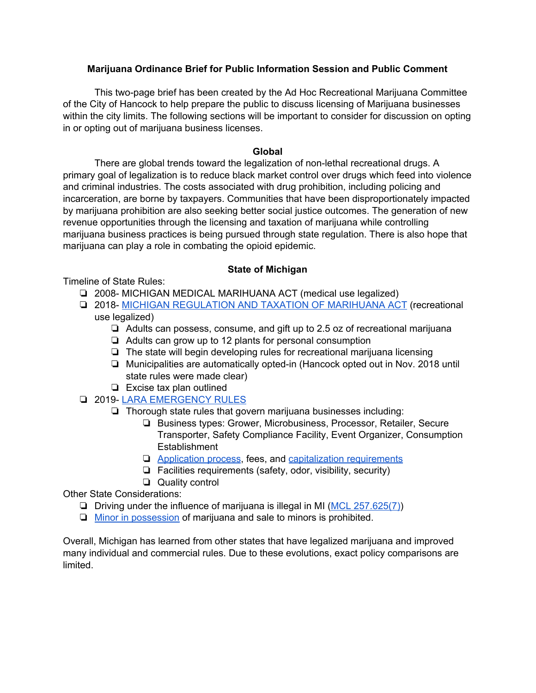### **Marijuana Ordinance Brief for Public Information Session and Public Comment**

This two-page brief has been created by the Ad Hoc Recreational Marijuana Committee of the City of Hancock to help prepare the public to discuss licensing of Marijuana businesses within the city limits. The following sections will be important to consider for discussion on opting in or opting out of marijuana business licenses.

#### **Global**

There are global trends toward the legalization of non-lethal recreational drugs. A primary goal of legalization is to reduce black market control over drugs which feed into violence and criminal industries. The costs associated with drug prohibition, including policing and incarceration, are borne by taxpayers. Communities that have been disproportionately impacted by marijuana prohibition are also seeking better social justice outcomes. The generation of new revenue opportunities through the licensing and taxation of marijuana while controlling marijuana business practices is being pursued through state regulation. There is also hope that marijuana can play a role in combating the opioid epidemic.

#### **State of Michigan**

Timeline of State Rules:

- ❏ 2008- MICHIGAN MEDICAL MARIHUANA ACT (medical use legalized)
- ❏ 2018- MICHIGAN [REGULATION](https://www.legislature.mi.gov/(S(r5enzpyuqmdn2y2iofsor1qt))/mileg.aspx?page=getObject&objectName=mcl-Initiated-Law-1-of-2018) AND TAXATION OF MARIHUANA ACT (recreational use legalized)
	- ❏ Adults can possess, consume, and gift up to 2.5 oz of recreational marijuana
	- ❏ Adults can grow up to 12 plants for personal consumption
	- ❏ The state will begin developing rules for recreational marijuana licensing
	- ❏ Municipalities are automatically opted-in (Hancock opted out in Nov. 2018 until state rules were made clear)
	- ❏ Excise tax plan outlined
- ❏ 2019- LARA [EMERGENCY](https://www.michigan.gov/lara/0,4601,7-154-89334_79571_83994---,00.html) RULES
	- ❏ Thorough state rules that govern marijuana businesses including:
		- ❏ Business types: Grower, Microbusiness, Processor, Retailer, Secure Transporter, Safety Compliance Facility, Event Organizer, Consumption **Establishment**
		- ❏ [Application](https://www.michigan.gov/lara/0,4601,7-154-89505-509160--,00.html) process, fees, and capitalization [requirements](https://www.michigan.gov/lara/0,4601,7-154-89334_79571_83994-454523--,00.html)
		- ❏ Facilities requirements (safety, odor, visibility, security)
		- ❏ Quality control

Other State Considerations:

- ❏ Driving under the influence of marijuana is illegal in MI (MCL [257.625\(7\)\)](http://www.legislature.mi.gov/(S(esqp4wu2pqrhtt3onwl5goye))/mileg.aspx?page=GetObject&objectname=mcl-257-625)
- ❏ Minor in [possession](https://www.legislature.mi.gov/(S(r5enzpyuqmdn2y2iofsor1qt))/mileg.aspx?page=getObject&objectName=mcl-333-27965) of marijuana and sale to minors is prohibited.

Overall, Michigan has learned from other states that have legalized marijuana and improved many individual and commercial rules. Due to these evolutions, exact policy comparisons are limited.